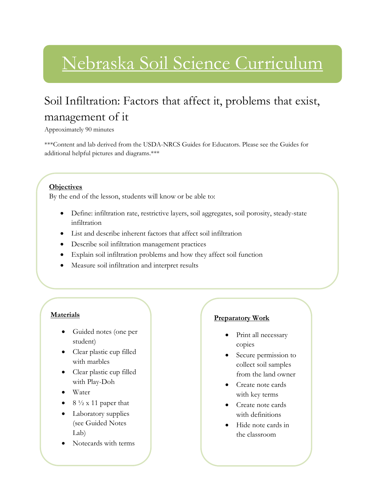# Nebraska Soil Science Curriculum

# Soil Infiltration: Factors that affect it, problems that exist, management of it

Approximately 90 minutes

\*\*\*Content and lab derived from the USDA-NRCS Guides for Educators. Please see the Guides for additional helpful pictures and diagrams.\*\*\*

### **Objectives**

By the end of the lesson, students will know or be able to:

- Define: infiltration rate, restrictive layers, soil aggregates, soil porosity, steady-state infiltration
- List and describe inherent factors that affect soil infiltration
- Describe soil infiltration management practices
- Explain soil infiltration problems and how they affect soil function
- Measure soil infiltration and interpret results

### **Materials**

- Guided notes (one per student)
- Clear plastic cup filled with marbles
- Clear plastic cup filled with Play-Doh
- Water
- $8\frac{1}{2}$  x 11 paper that
- Laboratory supplies (see Guided Notes Lab)
- Notecards with terms

### **Preparatory Work**

- Print all necessary copies
- Secure permission to collect soil samples from the land owner
- Create note cards with key terms
- Create note cards with definitions
- Hide note cards in the classroom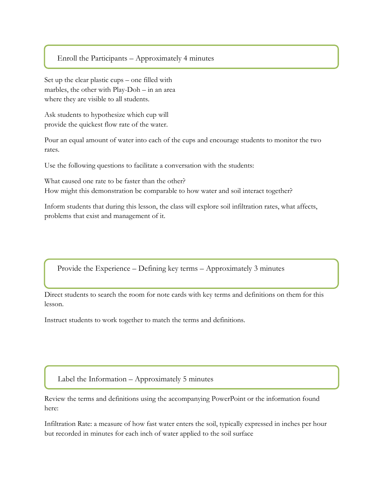#### Enroll the Participants – Approximately 4 minutes

Set up the clear plastic cups – one filled with marbles, the other with Play-Doh – in an area where they are visible to all students.

l

Ask students to hypothesize which cup will provide the quickest flow rate of the water.

Pour an equal amount of water into each of the cups and encourage students to monitor the two rates.

Use the following questions to facilitate a conversation with the students:

What caused one rate to be faster than the other? How might this demonstration be comparable to how water and soil interact together?

Inform students that during this lesson, the class will explore soil infiltration rates, what affects, problems that exist and management of it.

Provide the Experience – Defining key terms – Approximately 3 minutes

Direct students to search the room for note cards with key terms and definitions on them for this lesson.

Instruct students to work together to match the terms and definitions.

Label the Information – Approximately 5 minutes

Review the terms and definitions using the accompanying PowerPoint or the information found here:

Infiltration Rate: a measure of how fast water enters the soil, typically expressed in inches per hour but recorded in minutes for each inch of water applied to the soil surface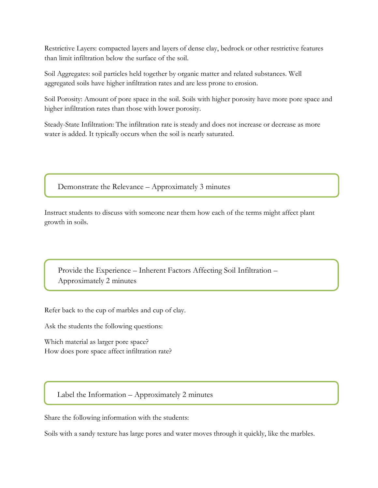Restrictive Layers: compacted layers and layers of dense clay, bedrock or other restrictive features than limit infiltration below the surface of the soil.

Soil Aggregates: soil particles held together by organic matter and related substances. Well aggregated soils have higher infiltration rates and are less prone to erosion.

Soil Porosity: Amount of pore space in the soil. Soils with higher porosity have more pore space and higher infiltration rates than those with lower porosity.

Steady-State Infiltration: The infiltration rate is steady and does not increase or decrease as more water is added. It typically occurs when the soil is nearly saturated.

Demonstrate the Relevance – Approximately 3 minutes

Instruct students to discuss with someone near them how each of the terms might affect plant growth in soils.

Provide the Experience – Inherent Factors Affecting Soil Infiltration – Approximately 2 minutes

Refer back to the cup of marbles and cup of clay.

Ask the students the following questions:

Which material as larger pore space? How does pore space affect infiltration rate?

Label the Information – Approximately 2 minutes

Share the following information with the students:

Soils with a sandy texture has large pores and water moves through it quickly, like the marbles.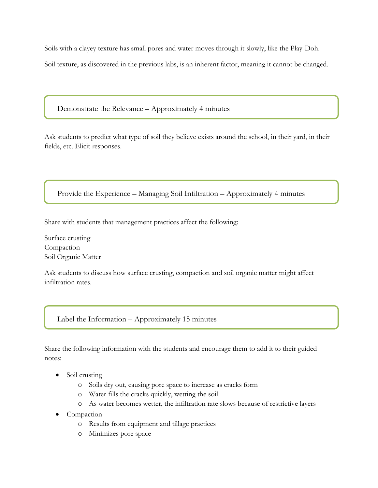Soils with a clayey texture has small pores and water moves through it slowly, like the Play-Doh. Soil texture, as discovered in the previous labs, is an inherent factor, meaning it cannot be changed.

Demonstrate the Relevance – Approximately 4 minutes

Ask students to predict what type of soil they believe exists around the school, in their yard, in their fields, etc. Elicit responses.

Provide the Experience – Managing Soil Infiltration – Approximately 4 minutes

Share with students that management practices affect the following:

Surface crusting Compaction Soil Organic Matter

Ask students to discuss how surface crusting, compaction and soil organic matter might affect infiltration rates.

Label the Information – Approximately 15 minutes

Share the following information with the students and encourage them to add it to their guided notes:

- Soil crusting
	- o Soils dry out, causing pore space to increase as cracks form
	- o Water fills the cracks quickly, wetting the soil
	- o As water becomes wetter, the infiltration rate slows because of restrictive layers
- Compaction
	- o Results from equipment and tillage practices
	- o Minimizes pore space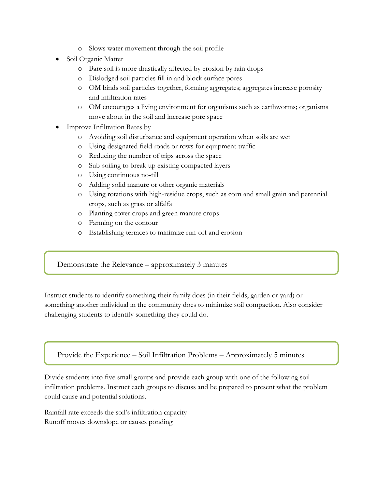- o Slows water movement through the soil profile
- Soil Organic Matter
	- o Bare soil is more drastically affected by erosion by rain drops
	- o Dislodged soil particles fill in and block surface pores
	- o OM binds soil particles together, forming aggregates; aggregates increase porosity and infiltration rates
	- o OM encourages a living environment for organisms such as earthworms; organisms move about in the soil and increase pore space
- Improve Infiltration Rates by
	- o Avoiding soil disturbance and equipment operation when soils are wet
	- o Using designated field roads or rows for equipment traffic
	- o Reducing the number of trips across the space
	- o Sub-soiling to break up existing compacted layers
	- o Using continuous no-till
	- o Adding solid manure or other organic materials
	- o Using rotations with high-residue crops, such as corn and small grain and perennial crops, such as grass or alfalfa
	- o Planting cover crops and green manure crops
	- o Farming on the contour
	- o Establishing terraces to minimize run-off and erosion

Demonstrate the Relevance – approximately 3 minutes

Instruct students to identify something their family does (in their fields, garden or yard) or something another individual in the community does to minimize soil compaction. Also consider challenging students to identify something they could do.

Provide the Experience – Soil Infiltration Problems – Approximately 5 minutes

Divide students into five small groups and provide each group with one of the following soil infiltration problems. Instruct each groups to discuss and be prepared to present what the problem could cause and potential solutions.

Rainfall rate exceeds the soil's infiltration capacity Runoff moves downslope or causes ponding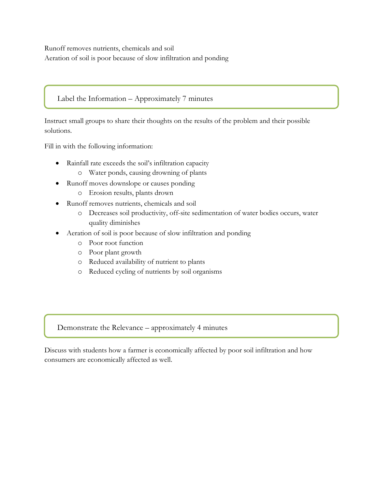Runoff removes nutrients, chemicals and soil Aeration of soil is poor because of slow infiltration and ponding

### Label the Information – Approximately 7 minutes

Instruct small groups to share their thoughts on the results of the problem and their possible solutions.

Fill in with the following information:

- Rainfall rate exceeds the soil's infiltration capacity
	- o Water ponds, causing drowning of plants
- Runoff moves downslope or causes ponding
	- o Erosion results, plants drown
- Runoff removes nutrients, chemicals and soil
	- o Decreases soil productivity, off-site sedimentation of water bodies occurs, water quality diminishes
- Aeration of soil is poor because of slow infiltration and ponding
	- o Poor root function
	- o Poor plant growth
	- o Reduced availability of nutrient to plants
	- o Reduced cycling of nutrients by soil organisms

Demonstrate the Relevance – approximately 4 minutes

Discuss with students how a farmer is economically affected by poor soil infiltration and how consumers are economically affected as well.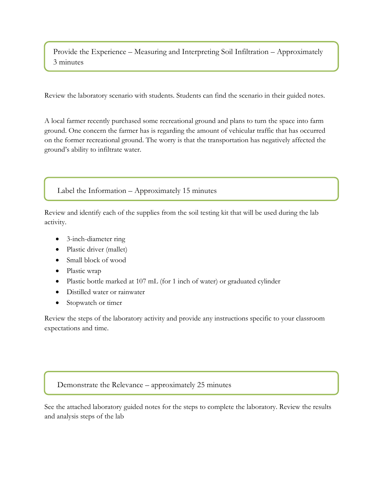Provide the Experience – Measuring and Interpreting Soil Infiltration – Approximately 3 minutes

Review the laboratory scenario with students. Students can find the scenario in their guided notes.

A local farmer recently purchased some recreational ground and plans to turn the space into farm ground. One concern the farmer has is regarding the amount of vehicular traffic that has occurred on the former recreational ground. The worry is that the transportation has negatively affected the ground's ability to infiltrate water.

### Label the Information – Approximately 15 minutes

Review and identify each of the supplies from the soil testing kit that will be used during the lab activity.

- 3-inch-diameter ring
- Plastic driver (mallet)
- Small block of wood
- Plastic wrap
- Plastic bottle marked at 107 mL (for 1 inch of water) or graduated cylinder
- Distilled water or rainwater
- Stopwatch or timer

Review the steps of the laboratory activity and provide any instructions specific to your classroom expectations and time.

#### Demonstrate the Relevance – approximately 25 minutes

See the attached laboratory guided notes for the steps to complete the laboratory. Review the results and analysis steps of the lab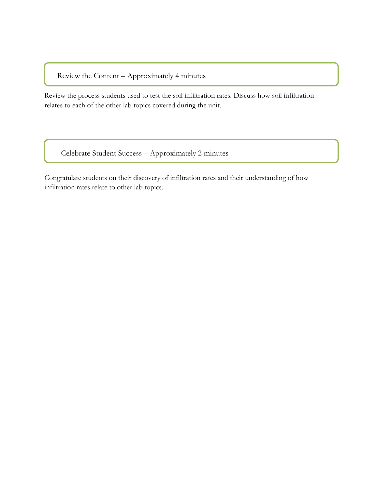Review the Content – Approximately 4 minutes

Review the process students used to test the soil infiltration rates. Discuss how soil infiltration relates to each of the other lab topics covered during the unit.

Celebrate Student Success – Approximately 2 minutes

Congratulate students on their discovery of infiltration rates and their understanding of how infiltration rates relate to other lab topics.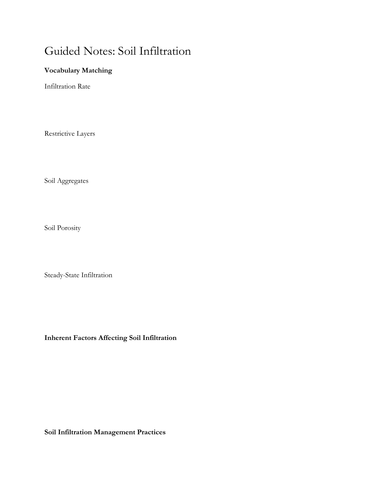# Guided Notes: Soil Infiltration

# **Vocabulary Matching**

Infiltration Rate

Restrictive Layers

Soil Aggregates

Soil Porosity

Steady-State Infiltration

**Inherent Factors Affecting Soil Infiltration**

**Soil Infiltration Management Practices**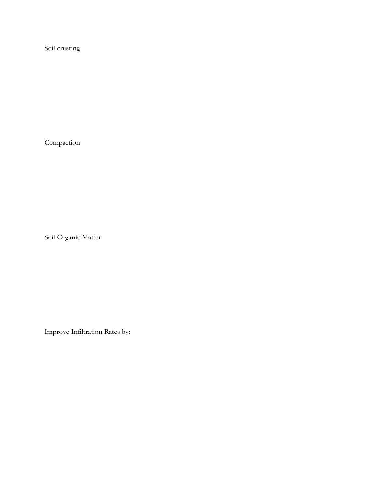Soil crusting

Compaction

Soil Organic Matter

Improve Infiltration Rates by: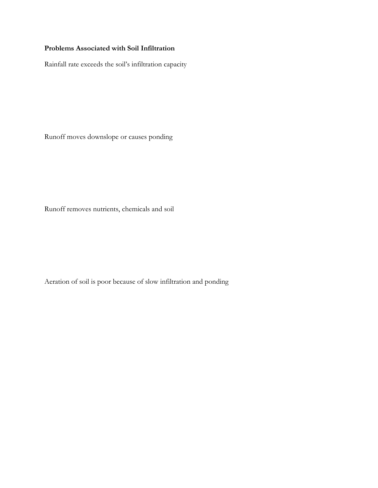## **Problems Associated with Soil Infiltration**

Rainfall rate exceeds the soil's infiltration capacity

Runoff moves downslope or causes ponding

Runoff removes nutrients, chemicals and soil

Aeration of soil is poor because of slow infiltration and ponding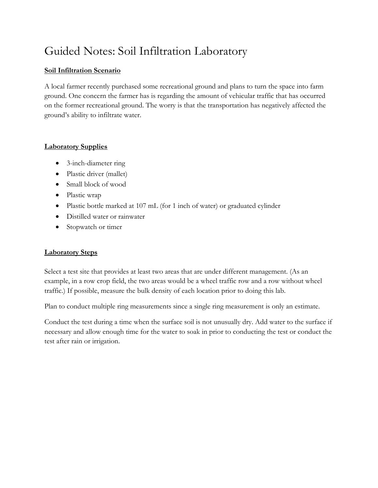# Guided Notes: Soil Infiltration Laboratory

### **Soil Infiltration Scenario**

A local farmer recently purchased some recreational ground and plans to turn the space into farm ground. One concern the farmer has is regarding the amount of vehicular traffic that has occurred on the former recreational ground. The worry is that the transportation has negatively affected the ground's ability to infiltrate water.

### **Laboratory Supplies**

- 3-inch-diameter ring
- Plastic driver (mallet)
- Small block of wood
- Plastic wrap
- Plastic bottle marked at 107 mL (for 1 inch of water) or graduated cylinder
- Distilled water or rainwater
- Stopwatch or timer

## **Laboratory Steps**

Select a test site that provides at least two areas that are under different management. (As an example, in a row crop field, the two areas would be a wheel traffic row and a row without wheel traffic.) If possible, measure the bulk density of each location prior to doing this lab.

Plan to conduct multiple ring measurements since a single ring measurement is only an estimate.

Conduct the test during a time when the surface soil is not unusually dry. Add water to the surface if necessary and allow enough time for the water to soak in prior to conducting the test or conduct the test after rain or irrigation.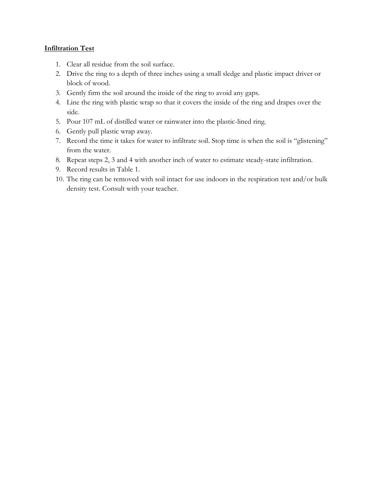#### **Infiltration Test**

- 1. Clear all residue from the soil surface.
- 2. Drive the ring to a depth of three inches using a small sledge and plastic impact driver or block of wood.
- 3. Gently firm the soil around the inside of the ring to avoid any gaps.
- 4. Line the ring with plastic wrap so that it covers the inside of the ring and drapes over the side.
- 5. Pour 107 mL of distilled water or rainwater into the plastic-lined ring.
- 6. Gently pull plastic wrap away.
- 7. Record the time it takes for water to infiltrate soil. Stop time is when the soil is "glistening" from the water.
- 8. Repeat steps 2, 3 and 4 with another inch of water to estimate steady-state infiltration.
- 9. Record results in Table 1.
- 10. The ring can be removed with soil intact for use indoors in the respiration test and/or bulk density test. Consult with your teacher.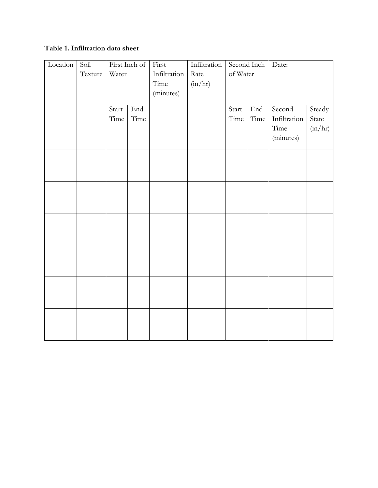# **Table 1. Infiltration data sheet**

| Location | Soil    | First Inch of |                      | First        | Infiltration | Second Inch |      | Date:        |         |
|----------|---------|---------------|----------------------|--------------|--------------|-------------|------|--------------|---------|
|          | Texture | Water         |                      | Infiltration | Rate         | of Water    |      |              |         |
|          |         |               |                      | Time         | (in/hr)      |             |      |              |         |
|          |         |               |                      | (minutes)    |              |             |      |              |         |
|          |         |               |                      |              |              |             |      |              |         |
|          |         | Start         | $\operatorname{End}$ |              |              | Start       | End  | Second       | Steady  |
|          |         | Time          | Time                 |              |              | Time        | Time | Infiltration | State   |
|          |         |               |                      |              |              |             |      | Time         | (in/hr) |
|          |         |               |                      |              |              |             |      | (minutes)    |         |
|          |         |               |                      |              |              |             |      |              |         |
|          |         |               |                      |              |              |             |      |              |         |
|          |         |               |                      |              |              |             |      |              |         |
|          |         |               |                      |              |              |             |      |              |         |
|          |         |               |                      |              |              |             |      |              |         |
|          |         |               |                      |              |              |             |      |              |         |
|          |         |               |                      |              |              |             |      |              |         |
|          |         |               |                      |              |              |             |      |              |         |
|          |         |               |                      |              |              |             |      |              |         |
|          |         |               |                      |              |              |             |      |              |         |
|          |         |               |                      |              |              |             |      |              |         |
|          |         |               |                      |              |              |             |      |              |         |
|          |         |               |                      |              |              |             |      |              |         |
|          |         |               |                      |              |              |             |      |              |         |
|          |         |               |                      |              |              |             |      |              |         |
|          |         |               |                      |              |              |             |      |              |         |
|          |         |               |                      |              |              |             |      |              |         |
|          |         |               |                      |              |              |             |      |              |         |
|          |         |               |                      |              |              |             |      |              |         |